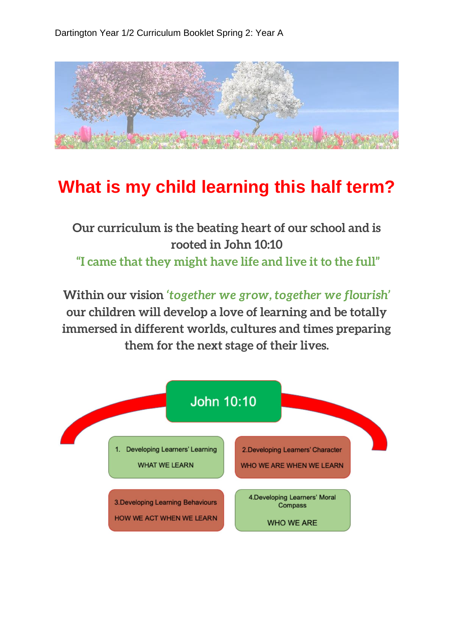

## **What is my child learning this half term?**

## **Our curriculum is the beating heart of our school and is rooted in John 10:10 "I came that they might have life and live it to the full"**

**Within our vision** *'together we grow, together we flourish'*  **our children will develop a love of learning and be totally immersed in different worlds, cultures and times preparing them for the next stage of their lives.**

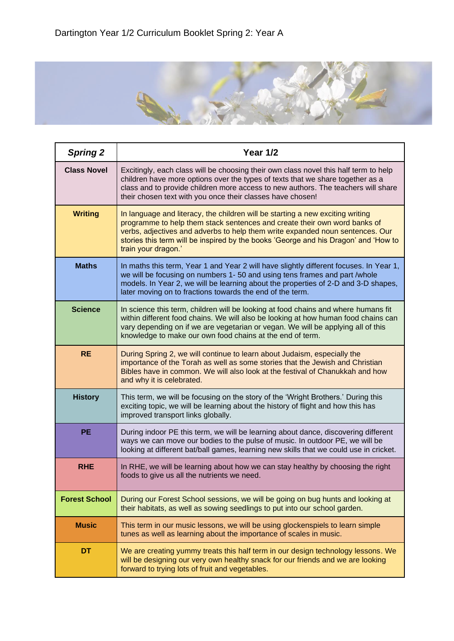

| <b>Spring 2</b>      | <b>Year 1/2</b>                                                                                                                                                                                                                                                                                                                                            |
|----------------------|------------------------------------------------------------------------------------------------------------------------------------------------------------------------------------------------------------------------------------------------------------------------------------------------------------------------------------------------------------|
| <b>Class Novel</b>   | Excitingly, each class will be choosing their own class novel this half term to help<br>children have more options over the types of texts that we share together as a<br>class and to provide children more access to new authors. The teachers will share<br>their chosen text with you once their classes have chosen!                                  |
| <b>Writing</b>       | In language and literacy, the children will be starting a new exciting writing<br>programme to help them stack sentences and create their own word banks of<br>verbs, adjectives and adverbs to help them write expanded noun sentences. Our<br>stories this term will be inspired by the books 'George and his Dragon' and 'How to<br>train your dragon.' |
| <b>Maths</b>         | In maths this term, Year 1 and Year 2 will have slightly different focuses. In Year 1,<br>we will be focusing on numbers 1-50 and using tens frames and part /whole<br>models. In Year 2, we will be learning about the properties of 2-D and 3-D shapes,<br>later moving on to fractions towards the end of the term.                                     |
| <b>Science</b>       | In science this term, children will be looking at food chains and where humans fit<br>within different food chains. We will also be looking at how human food chains can<br>vary depending on if we are vegetarian or vegan. We will be applying all of this<br>knowledge to make our own food chains at the end of term.                                  |
| <b>RE</b>            | During Spring 2, we will continue to learn about Judaism, especially the<br>importance of the Torah as well as some stories that the Jewish and Christian<br>Bibles have in common. We will also look at the festival of Chanukkah and how<br>and why it is celebrated.                                                                                    |
| <b>History</b>       | This term, we will be focusing on the story of the 'Wright Brothers.' During this<br>exciting topic, we will be learning about the history of flight and how this has<br>improved transport links globally.                                                                                                                                                |
| <b>PE</b>            | During indoor PE this term, we will be learning about dance, discovering different<br>ways we can move our bodies to the pulse of music. In outdoor PE, we will be<br>looking at different bat/ball games, learning new skills that we could use in cricket.                                                                                               |
| <b>RHE</b>           | In RHE, we will be learning about how we can stay healthy by choosing the right<br>foods to give us all the nutrients we need.                                                                                                                                                                                                                             |
| <b>Forest School</b> | During our Forest School sessions, we will be going on bug hunts and looking at<br>their habitats, as well as sowing seedlings to put into our school garden.                                                                                                                                                                                              |
| <b>Music</b>         | This term in our music lessons, we will be using glockenspiels to learn simple<br>tunes as well as learning about the importance of scales in music.                                                                                                                                                                                                       |
| DT                   | We are creating yummy treats this half term in our design technology lessons. We<br>will be designing our very own healthy snack for our friends and we are looking<br>forward to trying lots of fruit and vegetables.                                                                                                                                     |